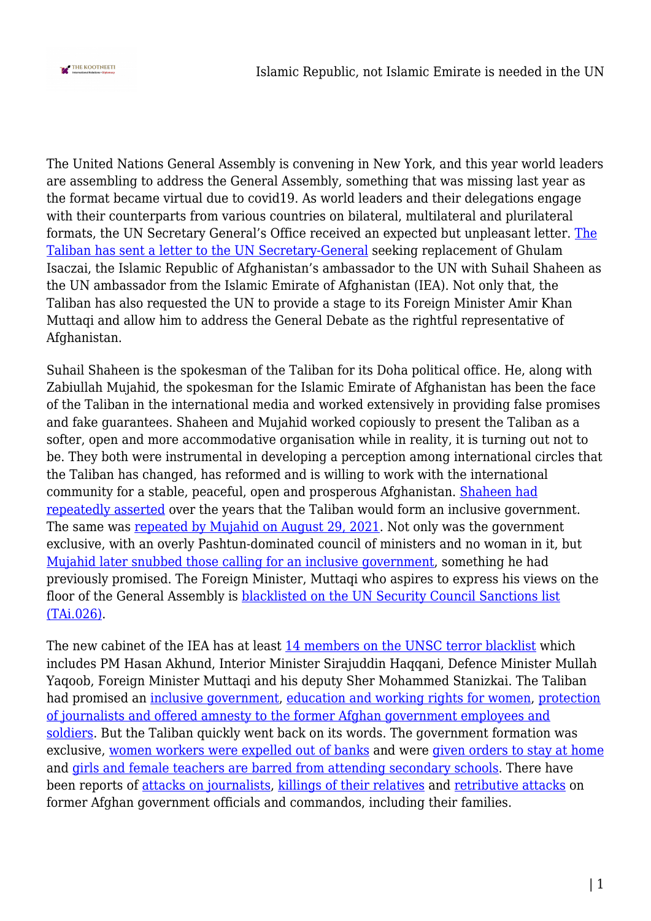

The United Nations General Assembly is convening in New York, and this year world leaders are assembling to address the General Assembly, something that was missing last year as the format became virtual due to covid19. As world leaders and their delegations engage with their counterparts from various countries on bilateral, multilateral and plurilateral formats, the UN Secretary General's Office received an expected but unpleasant letter. [The](https://www.reuters.com/world/asia-pacific/exclusive-taliban-names-afghan-un-envoy-asks-speak-world-leaders-2021-09-21/) [Taliban has sent a letter to the UN Secretary-General](https://www.reuters.com/world/asia-pacific/exclusive-taliban-names-afghan-un-envoy-asks-speak-world-leaders-2021-09-21/) seeking replacement of Ghulam Isaczai, the Islamic Republic of Afghanistan's ambassador to the UN with Suhail Shaheen as the UN ambassador from the Islamic Emirate of Afghanistan (IEA). Not only that, the Taliban has also requested the UN to provide a stage to its Foreign Minister Amir Khan Muttaqi and allow him to address the General Debate as the rightful representative of Afghanistan.

Suhail Shaheen is the spokesman of the Taliban for its Doha political office. He, along with Zabiullah Mujahid, the spokesman for the Islamic Emirate of Afghanistan has been the face of the Taliban in the international media and worked extensively in providing false promises and fake guarantees. Shaheen and Mujahid worked copiously to present the Taliban as a softer, open and more accommodative organisation while in reality, it is turning out not to be. They both were instrumental in developing a perception among international circles that the Taliban has changed, has reformed and is willing to work with the international community for a stable, peaceful, open and prosperous Afghanistan. [Shaheen had](https://www.nbcnews.com/news/world/taliban-aiming-inclusive-afghan-government-spokesman-says-n1103656) [repeatedly asserted](https://www.nbcnews.com/news/world/taliban-aiming-inclusive-afghan-government-spokesman-says-n1103656) over the years that the Taliban would form an inclusive government. The same was [repeated by Mujahid on August 29, 2021](https://pajhwok.com/2021/08/29/inclusive-govt-to-be-formed-within-days-mujahid/). Not only was the government exclusive, with an overly Pashtun-dominated council of ministers and no woman in it, but [Mujahid later snubbed those calling for an inclusive government](https://economictimes.indiatimes.com/news/international/world-news/un-security-council-taliban-must-form-inclusive-afghan-government/articleshow/86300818.cms), something he had previously promised. The Foreign Minister, Muttaqi who aspires to express his views on the floor of the General Assembly is **blacklisted on the UN Security Council Sanctions list** [\(TAi.026\)](https://www.un.org/french/sc/committees/consolidated.htm).

The new cabinet of the IEA has at least [14 members on the UNSC terror blacklist](https://www.business-standard.com/article/international/at-least-14-in-taliban-cabinet-on-unsc-s-terrorism-blacklist-report-121090900007_1.html) which includes PM Hasan Akhund, Interior Minister Sirajuddin Haqqani, Defence Minister Mullah Yaqoob, Foreign Minister Muttaqi and his deputy Sher Mohammed Stanizkai. The Taliban had promised an [inclusive government](ttps://www.aljazeera.com/news/2021/9/4/afghanistan-mullah-baradar-promises-an-inclusive-government), [education and working rights for women,](https://www.euronews.com/2021/09/13/credible-claims-that-taliban-killing-afghan-ex-government-workers-and-relatives-says-un) [protection](https://www.aljazeera.com/news/2021/8/17/transcript-of-talibans-first-press-conference-in-kabul) [of journalists and offered amnesty to the former Afghan government employees and](https://www.aljazeera.com/news/2021/8/17/transcript-of-talibans-first-press-conference-in-kabul) [soldiers](https://www.aljazeera.com/news/2021/8/17/transcript-of-talibans-first-press-conference-in-kabul). But the Taliban quickly went back on its words. The government formation was exclusive, [women workers were expelled out of banks](https://www.reuters.com/world/asia-pacific/afghan-women-bankers-forced-roles-taliban-takes-control-2021-08-13/) and were [given orders to stay at home](https://www.bbc.com/news/world-asia-58315413) and [girls and female teachers are barred from attending secondary schools](httphttps://www.indiatoday.in/world/story/taliban-excludes-girls-secondary-schools-afghanistan-un-outcry-1854240-2021-09-18). There have been reports of [attacks on journalists,](https://cpj.org/2021/09/taliban-fighters-detain-flog-and-beat-journalists-covering-protests-in-afghanistan/) [killings of their relatives](https://www.dw.com/en/relative-of-dw-journalist-killed-by-the-taliban/a-58912975) and [retributive attacks](https://www.euronews.com/2021/09/13/credible-claims-that-taliban-killing-afghan-ex-government-workers-and-relatives-says-un) on former Afghan government officials and commandos, including their families.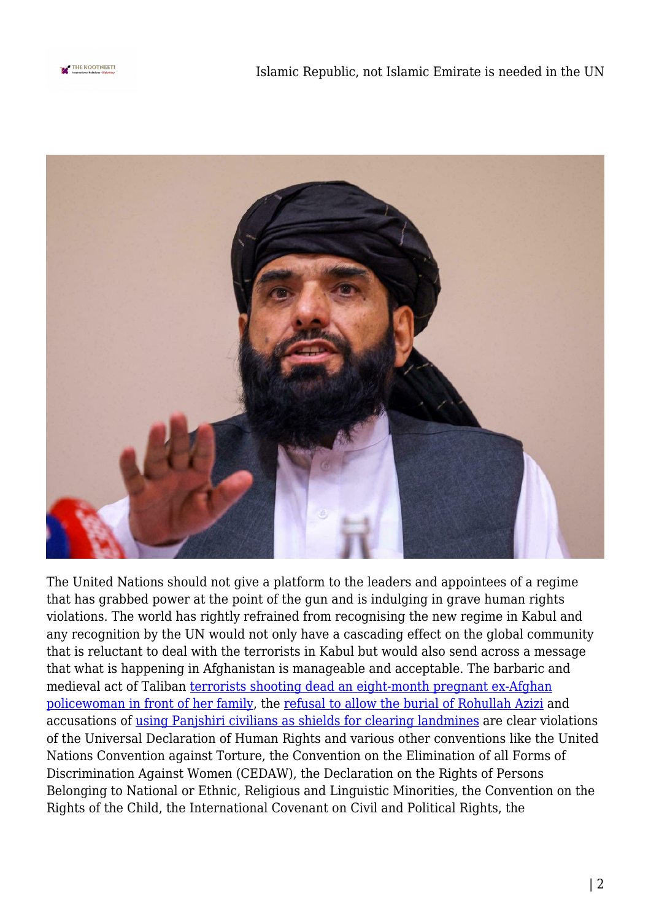



The United Nations should not give a platform to the leaders and appointees of a regime that has grabbed power at the point of the gun and is indulging in grave human rights violations. The world has rightly refrained from recognising the new regime in Kabul and any recognition by the UN would not only have a cascading effect on the global community that is reluctant to deal with the terrorists in Kabul but would also send across a message that what is happening in Afghanistan is manageable and acceptable. The barbaric and medieval act of Taliban [terrorists shooting dead an eight-month pregnant ex-Afghan](https://www.independent.co.uk/asia/south-asia/taliban-soldiers-pregnant-policewoman-mutilates-b1914837.html) [policewoman in front of her family,](https://www.independent.co.uk/asia/south-asia/taliban-soldiers-pregnant-policewoman-mutilates-b1914837.html) the [refusal to allow the burial of Rohullah Azizi](https://www.reuters.com/world/asia-pacific/brother-afghan-opposition-figure-executed-by-taliban-family-says-2021-09-10/) and accusations of [using Panjshiri civilians as shields for clearing landmines](https://twitter.com/AmrullahSaleh2/status/1433766405925658660?ref_src=twsrc%5Etfw%7Ctwcamp%5Etweetembed%7Ctwterm%5E1433766405925658660%7Ctwgr%5E%7Ctwcon%5Es1_&ref_url=https%3A%2F%2Fwww.indiatoday.in%2Fworld%2Fstory%2Ftaliban-using-panjshir-men-mine-clearan) are clear violations of the Universal Declaration of Human Rights and various other conventions like the United Nations Convention against Torture, the Convention on the Elimination of all Forms of Discrimination Against Women (CEDAW), the Declaration on the Rights of Persons Belonging to National or Ethnic, Religious and Linguistic Minorities, the Convention on the Rights of the Child, the International Covenant on Civil and Political Rights, the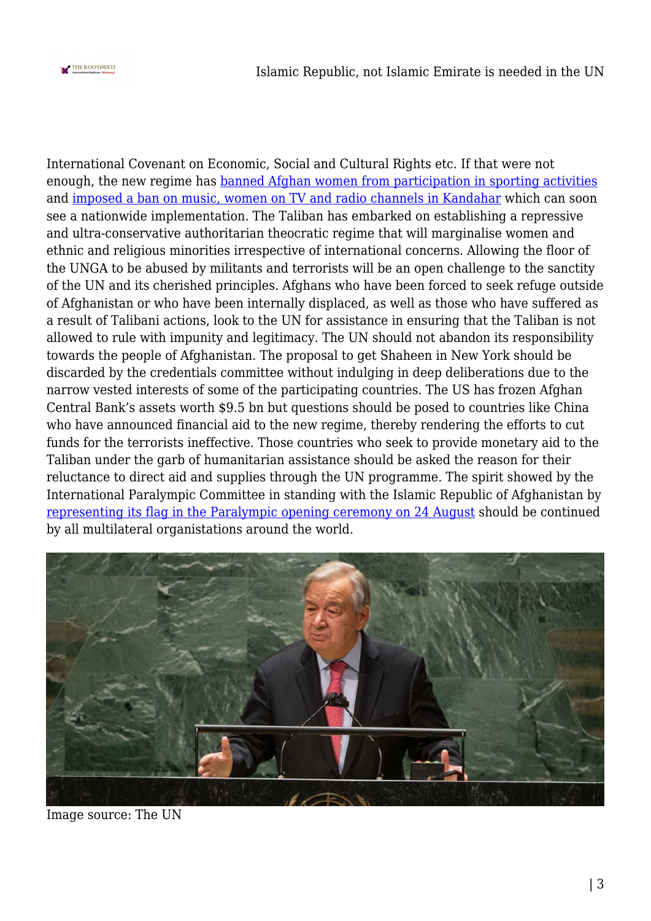

International Covenant on Economic, Social and Cultural Rights etc. If that were not enough, the new regime has [banned Afghan women from participation in sporting activities](https://www.theguardian.com/world/2021/sep/08/afghan-women-to-be-banned-from-playing-sport-taliban-say) and [imposed a ban on music, women on TV and radio channels in Kandahar](https://www.freepressjournal.in/world/afghanistan-taliban-ban-music-women-on-tv-radio-channels-in-kandahar) which can soon see a nationwide implementation. The Taliban has embarked on establishing a repressive and ultra-conservative authoritarian theocratic regime that will marginalise women and ethnic and religious minorities irrespective of international concerns. Allowing the floor of the UNGA to be abused by militants and terrorists will be an open challenge to the sanctity of the UN and its cherished principles. Afghans who have been forced to seek refuge outside of Afghanistan or who have been internally displaced, as well as those who have suffered as a result of Talibani actions, look to the UN for assistance in ensuring that the Taliban is not allowed to rule with impunity and legitimacy. The UN should not abandon its responsibility towards the people of Afghanistan. The proposal to get Shaheen in New York should be discarded by the credentials committee without indulging in deep deliberations due to the narrow vested interests of some of the participating countries. The US has frozen Afghan Central Bank's assets worth \$9.5 bn but questions should be posed to countries like China who have announced financial aid to the new regime, thereby rendering the efforts to cut funds for the terrorists ineffective. Those countries who seek to provide monetary aid to the Taliban under the garb of humanitarian assistance should be asked the reason for their reluctance to direct aid and supplies through the UN programme. The spirit showed by the International Paralympic Committee in standing with the Islamic Republic of Afghanistan by [representing its flag in the Paralympic opening ceremony on 24 August](https://olympics.com/tokyo-2020/en/paralympics/news/afghanistan-flag-represented-tokyo-2020-paralympics-opening-ceremony) should be continued by all multilateral organistations around the world.



Image source: The UN